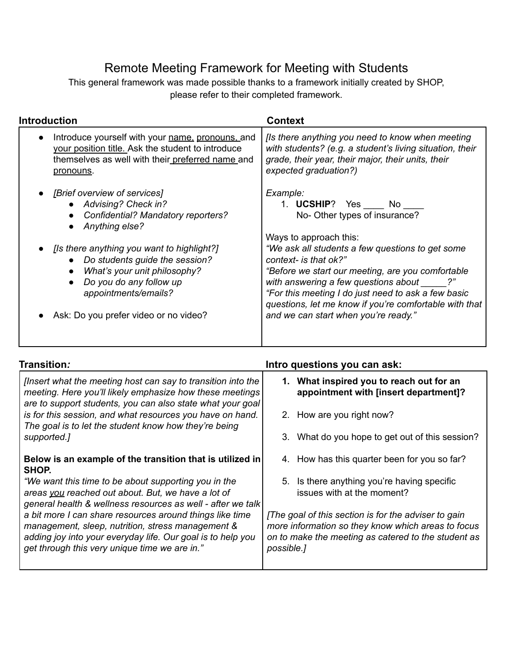## Remote Meeting Framework for Meeting with Students

This general framework was made possible thanks to a framework initially created by SHOP, please refer to their completed framework.

| <b>Introduction</b>                                                                                                                                                                 | <b>Context</b>                                                                                                                                                                                                                                                                                                            |
|-------------------------------------------------------------------------------------------------------------------------------------------------------------------------------------|---------------------------------------------------------------------------------------------------------------------------------------------------------------------------------------------------------------------------------------------------------------------------------------------------------------------------|
| Introduce yourself with your name, pronouns, and<br>$\bullet$<br>your position title. Ask the student to introduce<br>themselves as well with their preferred name and<br>pronouns. | [Is there anything you need to know when meeting<br>with students? (e.g. a student's living situation, their<br>grade, their year, their major, their units, their<br>expected graduation?)                                                                                                                               |
| [Brief overview of services]<br><b>Advising? Check in?</b><br>Confidential? Mandatory reporters?<br>Anything else?                                                                  | Example:<br>1. UCSHIP? Yes No<br>No-Other types of insurance?                                                                                                                                                                                                                                                             |
| [Is there anything you want to highlight?]<br>Do students guide the session?<br>What's your unit philosophy?<br>Do you do any follow up<br>appointments/emails?                     | Ways to approach this:<br>"We ask all students a few questions to get some<br>context- is that ok?"<br>"Before we start our meeting, are you comfortable<br>with answering a few questions about _____?"<br>"For this meeting I do just need to ask a few basic<br>questions, let me know if you're comfortable with that |
| Ask: Do you prefer video or no video?                                                                                                                                               | and we can start when you're ready."                                                                                                                                                                                                                                                                                      |

| Transition <i>:</i>                                                                                                                                                                                                           | Intro questions you can ask:                                                                                                                                                    |  |
|-------------------------------------------------------------------------------------------------------------------------------------------------------------------------------------------------------------------------------|---------------------------------------------------------------------------------------------------------------------------------------------------------------------------------|--|
| [Insert what the meeting host can say to transition into the<br>meeting. Here you'll likely emphasize how these meetings<br>are to support students, you can also state what your goal                                        | What inspired you to reach out for an<br>1.<br>appointment with [insert department]?                                                                                            |  |
| is for this session, and what resources you have on hand.<br>The goal is to let the student know how they're being                                                                                                            | 2. How are you right now?                                                                                                                                                       |  |
| supported.]                                                                                                                                                                                                                   | 3. What do you hope to get out of this session?                                                                                                                                 |  |
| Below is an example of the transition that is utilized in<br>SHOP.                                                                                                                                                            | 4. How has this quarter been for you so far?                                                                                                                                    |  |
| "We want this time to be about supporting you in the<br>areas you reached out about. But, we have a lot of<br>general health & wellness resources as well - after we talk                                                     | 5. Is there anything you're having specific<br>issues with at the moment?                                                                                                       |  |
| a bit more I can share resources around things like time<br>management, sleep, nutrition, stress management &<br>adding joy into your everyday life. Our goal is to help you<br>get through this very unique time we are in." | [The goal of this section is for the adviser to gain<br>more information so they know which areas to focus<br>on to make the meeting as catered to the student as<br>possible.] |  |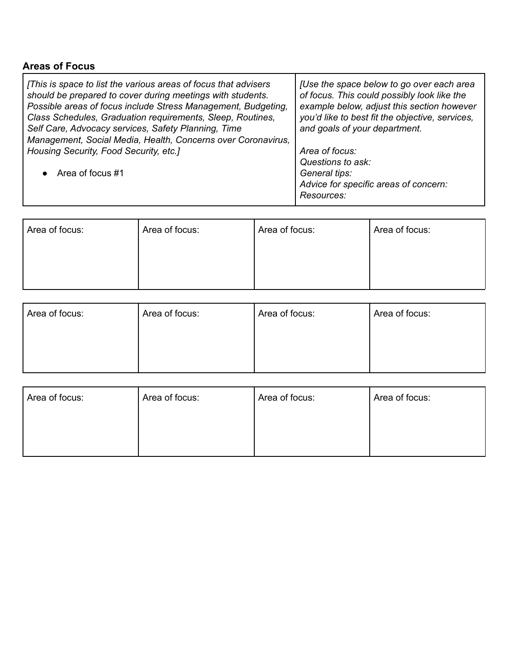## **Areas of Focus**

| [This is space to list the various areas of focus that advisers<br>should be prepared to cover during meetings with students.<br>Possible areas of focus include Stress Management, Budgeting,<br>Class Schedules, Graduation requirements, Sleep, Routines,<br>Self Care, Advocacy services, Safety Planning, Time<br>Management, Social Media, Health, Concerns over Coronavirus, | [Use the space below to go over each area<br>of focus. This could possibly look like the<br>example below, adjust this section however<br>you'd like to best fit the objective, services,<br>and goals of your department. |
|-------------------------------------------------------------------------------------------------------------------------------------------------------------------------------------------------------------------------------------------------------------------------------------------------------------------------------------------------------------------------------------|----------------------------------------------------------------------------------------------------------------------------------------------------------------------------------------------------------------------------|
| Housing Security, Food Security, etc.]                                                                                                                                                                                                                                                                                                                                              | Area of focus:                                                                                                                                                                                                             |
|                                                                                                                                                                                                                                                                                                                                                                                     | Questions to ask:                                                                                                                                                                                                          |
| • Area of focus $#1$                                                                                                                                                                                                                                                                                                                                                                | General tips:                                                                                                                                                                                                              |
|                                                                                                                                                                                                                                                                                                                                                                                     | Advice for specific areas of concern:                                                                                                                                                                                      |
|                                                                                                                                                                                                                                                                                                                                                                                     | Resources:                                                                                                                                                                                                                 |

| Area of focus: | Area of focus: | Area of focus: | Area of focus: |
|----------------|----------------|----------------|----------------|
|                |                |                |                |
|                |                |                |                |

| Area of focus: | Area of focus: |
|----------------|----------------|
|                |                |
|                |                |
|                | Area of focus: |

| Area of focus: | Area of focus: | Area of focus: | Area of focus: |
|----------------|----------------|----------------|----------------|
|                |                |                |                |
|                |                |                |                |
|                |                |                |                |